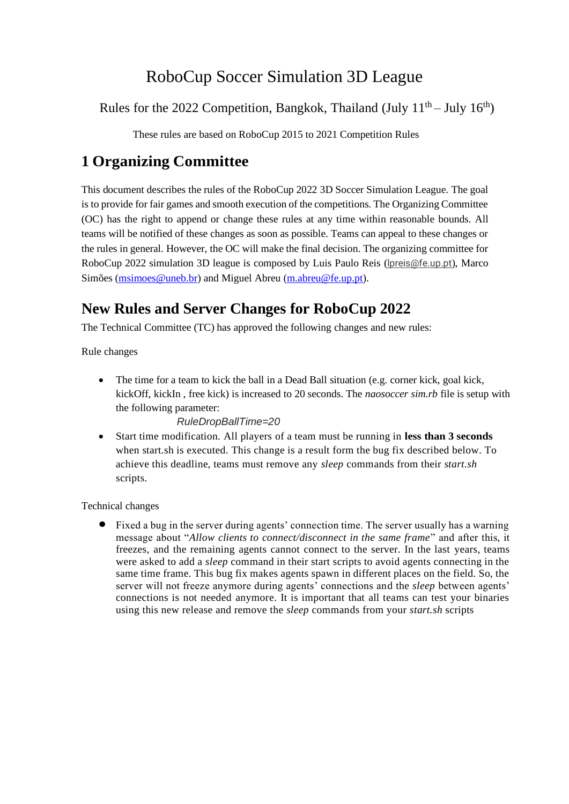# RoboCup Soccer Simulation 3D League

Rules for the 2022 Competition, Bangkok, Thailand (July  $11<sup>th</sup>$  – July  $16<sup>th</sup>$ )

These rules are based on RoboCup 2015 to 2021 Competition Rules

## **1 Organizing Committee**

This document describes the rules of the RoboCup 2022 3D Soccer Simulation League. The goal is to provide for fair games and smooth execution of the competitions. The Organizing Committee (OC) has the right to append or change these rules at any time within reasonable bounds. All teams will be notified of these changes as soon as possible. Teams can appeal to these changes or the rules in general. However, the OC will make the final decision. The organizing committee for RoboCup 2022 simulation 3D league is composed by Luis Paulo Reis (*[lpreis@fe.up.pt](mailto:lpreis@fe.up.pt)*), Marco Simões [\(msimoes@uneb.br\)](mailto:msimoes@uneb.br) and Miguel Abreu [\(m.abreu@fe.up.pt\)](mailto:m.abreu@fe.up.pt).

## **New Rules and Server Changes for RoboCup 2022**

The Technical Committee (TC) has approved the following changes and new rules:

Rule changes

• The time for a team to kick the ball in a Dead Ball situation (e.g. corner kick, goal kick, kickOff, kickIn , free kick) is increased to 20 seconds. The *naosoccer sim.rb* file is setup with the following parameter:

#### *RuleDropBallTime=20*

• Start time modification. All players of a team must be running in **less than 3 seconds** when start.sh is executed. This change is a result form the bug fix described below. To achieve this deadline, teams must remove any *sleep* commands from their *start.sh* scripts.

Technical changes

• Fixed a bug in the server during agents' connection time. The server usually has a warning message about "*Allow clients to connect/disconnect in the same frame*" and after this, it freezes, and the remaining agents cannot connect to the server. In the last years, teams were asked to add a *sleep* command in their start scripts to avoid agents connecting in the same time frame. This bug fix makes agents spawn in different places on the field. So, the server will not freeze anymore during agents' connections and the *sleep* between agents' connections is not needed anymore. It is important that all teams can test your binaries using this new release and remove the *sleep* commands from your *start.sh* scripts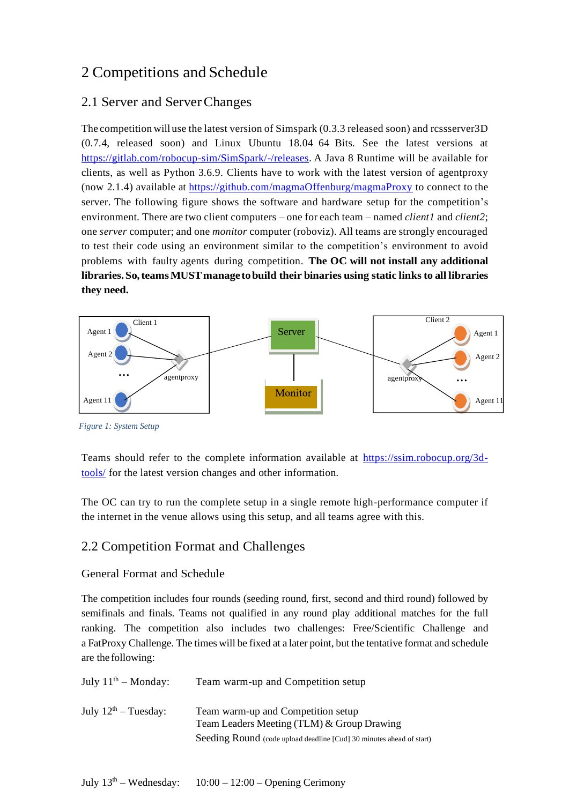## 2 Competitions and Schedule

## 2.1 Server and ServerChanges

The competition will use the latest version of Simspark (0.3.3 released soon) and rcssserver3D (0.7.4, released soon) and Linux Ubuntu 18.04 64 Bits. See the latest versions at [https://gitlab.com/robocup-sim/SimSpark/-/releases.](https://gitlab.com/robocup-sim/SimSpark/-/releases) A Java 8 Runtime will be available for clients, as well as Python 3.6.9. Clients have to work with the latest version of agentproxy (now 2.1.4) available at https://github.com/magmaOffenburg/magmaProxy to connect to the server. The following figure shows the software and hardware setup for the competition's environment. There are two client computers – one for each team – named *client1* and *client2*; one *server* computer; and one *monitor* computer (roboviz). All teams are strongly encouraged to test their code using an environment similar to the competition's environment to avoid problems with faulty agents during competition. **The OC will not install any additional libraries.So,teamsMUSTmanage tobuild their binaries using static linksto all libraries they need.**



*Figure 1: System Setup*

Teams should refer to the complete information available at [https://ssim.robocup.org/3d](https://ssim.robocup.org/3d-tools/)[tools/](https://ssim.robocup.org/3d-tools/) for the latest version changes and other information.

The OC can try to run the complete setup in a single remote high-performance computer if the internet in the venue allows using this setup, and all teams agree with this.

## 2.2 Competition Format and Challenges

#### General Format and Schedule

The competition includes four rounds (seeding round, first, second and third round) followed by semifinals and finals. Teams not qualified in any round play additional matches for the full ranking. The competition also includes two challenges: Free/Scientific Challenge and a FatProxy Challenge. The times will be fixed at a later point, but the tentative format and schedule are the following:

| July $11^{th}$ – Monday:         | Team warm-up and Competition setup                                                                                                                       |
|----------------------------------|----------------------------------------------------------------------------------------------------------------------------------------------------------|
| July $12^{\text{th}}$ – Tuesday: | Team warm-up and Competition setup<br>Team Leaders Meeting (TLM) & Group Drawing<br>Seeding Round (code upload deadline [Cud] 30 minutes ahead of start) |
|                                  |                                                                                                                                                          |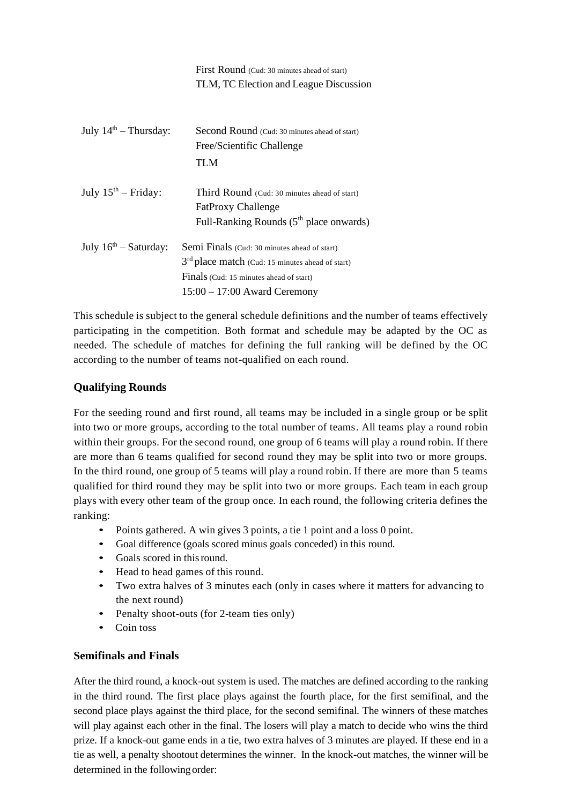|                          | First Round (Cud: 30 minutes ahead of start)                 |
|--------------------------|--------------------------------------------------------------|
|                          | TLM, TC Election and League Discussion                       |
|                          |                                                              |
|                          |                                                              |
| July $14th$ – Thursday:  | <b>Second Round</b> (Cud: 30 minutes ahead of start)         |
|                          | Free/Scientific Challenge                                    |
|                          | TLM                                                          |
|                          |                                                              |
| July $15^{th}$ – Friday: | Third Round (Cud: 30 minutes ahead of start)                 |
|                          | <b>FatProxy Challenge</b>                                    |
|                          | Full-Ranking Rounds $(5th$ place onwards)                    |
| July $16th - Saturday$ : |                                                              |
|                          | Semi Finals (Cud: 30 minutes ahead of start)                 |
|                          | 3 <sup>rd</sup> place match (Cud: 15 minutes ahead of start) |
|                          | Finals (Cud: 15 minutes ahead of start)                      |
|                          | $15:00 - 17:00$ Award Ceremony                               |
|                          |                                                              |

This schedule is subject to the general schedule definitions and the number of teams effectively participating in the competition. Both format and schedule may be adapted by the OC as needed. The schedule of matches for defining the full ranking will be defined by the OC according to the number of teams not-qualified on each round.

#### **Qualifying Rounds**

For the seeding round and first round, all teams may be included in a single group or be split into two or more groups, according to the total number of teams. All teams play a round robin within their groups. For the second round, one group of 6 teams will play a round robin. If there are more than 6 teams qualified for second round they may be split into two or more groups. In the third round, one group of 5 teams will play a round robin. If there are more than 5 teams qualified for third round they may be split into two or more groups. Each team in each group plays with every other team of the group once. In each round, the following criteria defines the ranking:

- Points gathered. A win gives 3 points, a tie 1 point and a loss 0 point.
- Goal difference (goals scored minus goals conceded) in this round.
- Goals scored in this round.
- Head to head games of this round.
- Two extra halves of 3 minutes each (only in cases where it matters for advancing to the next round)
- Penalty shoot-outs (for 2-team ties only)
- Coin toss

#### **Semifinals and Finals**

After the third round, a knock-out system is used. The matches are defined according to the ranking in the third round. The first place plays against the fourth place, for the first semifinal, and the second place plays against the third place, for the second semifinal. The winners of these matches will play against each other in the final. The losers will play a match to decide who wins the third prize. If a knock-out game ends in a tie, two extra halves of 3 minutes are played. If these end in a tie as well, a penalty shootout determines the winner. In the knock-out matches, the winner will be determined in the followingorder: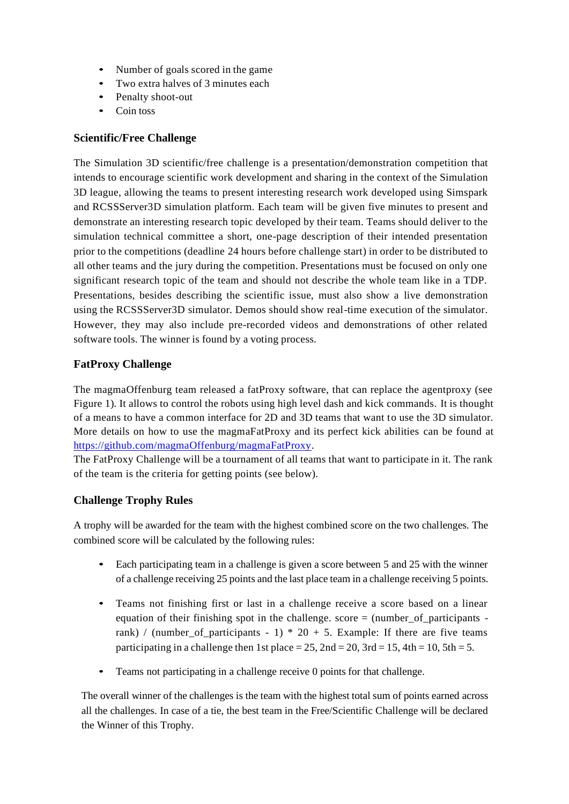- Number of goals scored in the game
- Two extra halves of 3 minutes each
- Penalty shoot-out
- Coin toss

#### **Scientific/Free Challenge**

The Simulation 3D scientific/free challenge is a presentation/demonstration competition that intends to encourage scientific work development and sharing in the context of the Simulation 3D league, allowing the teams to present interesting research work developed using Simspark and RCSSServer3D simulation platform. Each team will be given five minutes to present and demonstrate an interesting research topic developed by their team. Teams should deliver to the simulation technical committee a short, one-page description of their intended presentation prior to the competitions (deadline 24 hours before challenge start) in order to be distributed to all other teams and the jury during the competition. Presentations must be focused on only one significant research topic of the team and should not describe the whole team like in a TDP. Presentations, besides describing the scientific issue, must also show a live demonstration using the RCSSServer3D simulator. Demos should show real-time execution of the simulator. However, they may also include pre-recorded videos and demonstrations of other related software tools. The winner is found by a voting process.

#### **FatProxy Challenge**

The magmaOffenburg team released a fatProxy software, that can replace the agentproxy (see Figure 1). It allows to control the robots using high level dash and kick commands. It is thought of a means to have a common interface for 2D and 3D teams that want to use the 3D simulator. More details on how to use the magmaFatProxy and its perfect kick abilities can be found at [https://github.com/magmaOffenburg/magmaFatProxy.](https://github.com/magmaOffenburg/magmaFatProxy)

The FatProxy Challenge will be a tournament of all teams that want to participate in it. The rank of the team is the criteria for getting points (see below).

#### **Challenge Trophy Rules**

A trophy will be awarded for the team with the highest combined score on the two challenges. The combined score will be calculated by the following rules:

- Each participating team in a challenge is given a score between 5 and 25 with the winner of a challenge receiving 25 points and the last place team in a challenge receiving 5 points.
- Teams not finishing first or last in a challenge receive a score based on a linear equation of their finishing spot in the challenge. score  $=$  (number\_of\_participants rank) / (number\_of\_participants - 1) \* 20 + 5. Example: If there are five teams participating in a challenge then 1st place =  $25$ ,  $2nd = 20$ ,  $3rd = 15$ ,  $4th = 10$ ,  $5th = 5$ .
- Teams not participating in a challenge receive 0 points for that challenge.

The overall winner of the challenges is the team with the highest total sum of points earned across all the challenges. In case of a tie, the best team in the Free/Scientific Challenge will be declared the Winner of this Trophy.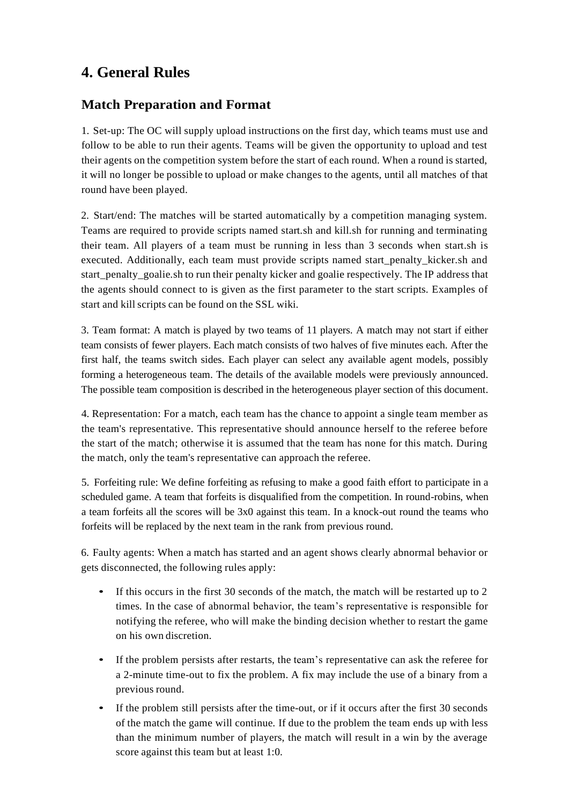## **4. General Rules**

## **Match Preparation and Format**

1. Set-up: The OC will supply upload instructions on the first day, which teams must use and follow to be able to run their agents. Teams will be given the opportunity to upload and test their agents on the competition system before the start of each round. When a round is started, it will no longer be possible to upload or make changes to the agents, until all matches of that round have been played.

2. Start/end: The matches will be started automatically by a competition managing system. Teams are required to provide scripts named start.sh and kill.sh for running and terminating their team. All players of a team must be running in less than 3 seconds when start.sh is executed. Additionally, each team must provide scripts named start penalty kicker.sh and start\_penalty\_goalie.sh to run their penalty kicker and goalie respectively. The IP address that the agents should connect to is given as the first parameter to the start scripts. Examples of start and kill scripts can be found on the SSL wiki.

3. Team format: A match is played by two teams of 11 players. A match may not start if either team consists of fewer players. Each match consists of two halves of five minutes each. After the first half, the teams switch sides. Each player can select any available agent models, possibly forming a heterogeneous team. The details of the available models were previously announced. The possible team composition is described in the heterogeneous player section of this document.

4. Representation: For a match, each team has the chance to appoint a single team member as the team's representative. This representative should announce herself to the referee before the start of the match; otherwise it is assumed that the team has none for this match. During the match, only the team's representative can approach the referee.

5. Forfeiting rule: We define forfeiting as refusing to make a good faith effort to participate in a scheduled game. A team that forfeits is disqualified from the competition. In round-robins, when a team forfeits all the scores will be 3x0 against this team. In a knock-out round the teams who forfeits will be replaced by the next team in the rank from previous round.

6. Faulty agents: When a match has started and an agent shows clearly abnormal behavior or gets disconnected, the following rules apply:

- If this occurs in the first 30 seconds of the match, the match will be restarted up to 2 times. In the case of abnormal behavior, the team's representative is responsible for notifying the referee, who will make the binding decision whether to restart the game on his own discretion.
- If the problem persists after restarts, the team's representative can ask the referee for a 2-minute time-out to fix the problem. A fix may include the use of a binary from a previous round.
- If the problem still persists after the time-out, or if it occurs after the first 30 seconds of the match the game will continue. If due to the problem the team ends up with less than the minimum number of players, the match will result in a win by the average score against this team but at least 1:0.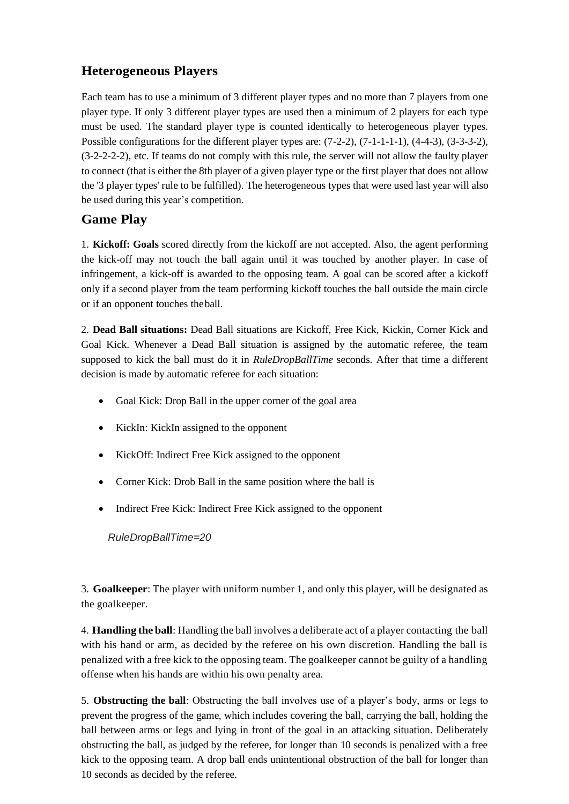## **Heterogeneous Players**

Each team has to use a minimum of 3 different player types and no more than 7 players from one player type. If only 3 different player types are used then a minimum of 2 players for each type must be used. The standard player type is counted identically to heterogeneous player types. Possible configurations for the different player types are: (7-2-2), (7-1-1-1-1), (4-4-3), (3-3-3-2), (3-2-2-2-2), etc. If teams do not comply with this rule, the server will not allow the faulty player to connect (that is either the 8th player of a given player type or the first player that does not allow the '3 player types' rule to be fulfilled). The heterogeneous types that were used last year will also be used during this year's competition.

### **Game Play**

1. **Kickoff: Goals** scored directly from the kickoff are not accepted. Also, the agent performing the kick-off may not touch the ball again until it was touched by another player. In case of infringement, a kick-off is awarded to the opposing team. A goal can be scored after a kickoff only if a second player from the team performing kickoff touches the ball outside the main circle or if an opponent touches theball.

2. **Dead Ball situations:** Dead Ball situations are Kickoff, Free Kick, Kickin, Corner Kick and Goal Kick. Whenever a Dead Ball situation is assigned by the automatic referee, the team supposed to kick the ball must do it in *RuleDropBallTime* seconds. After that time a different decision is made by automatic referee for each situation:

- Goal Kick: Drop Ball in the upper corner of the goal area
- KickIn: KickIn assigned to the opponent
- KickOff: Indirect Free Kick assigned to the opponent
- Corner Kick: Drob Ball in the same position where the ball is
- Indirect Free Kick: Indirect Free Kick assigned to the opponent

*RuleDropBallTime=20*

3. **Goalkeeper**: The player with uniform number 1, and only this player, will be designated as the goalkeeper.

4. **Handling the ball**: Handling the ball involves a deliberate act of a player contacting the ball with his hand or arm, as decided by the referee on his own discretion. Handling the ball is penalized with a free kick to the opposing team. The goalkeeper cannot be guilty of a handling offense when his hands are within his own penalty area.

5. **Obstructing the ball**: Obstructing the ball involves use of a player's body, arms or legs to prevent the progress of the game, which includes covering the ball, carrying the ball, holding the ball between arms or legs and lying in front of the goal in an attacking situation. Deliberately obstructing the ball, as judged by the referee, for longer than 10 seconds is penalized with a free kick to the opposing team. A drop ball ends unintentional obstruction of the ball for longer than 10 seconds as decided by the referee.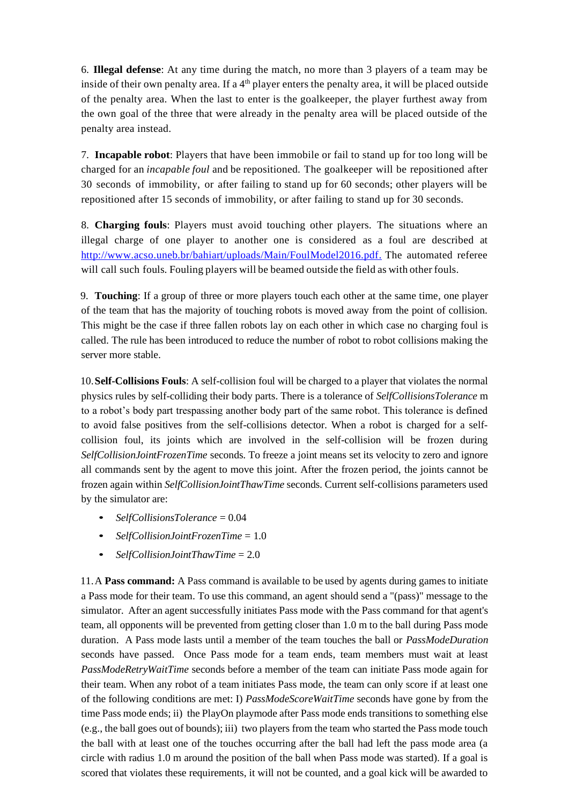6. **Illegal defense**: At any time during the match, no more than 3 players of a team may be inside of their own penalty area. If a  $4<sup>th</sup>$  player enters the penalty area, it will be placed outside of the penalty area. When the last to enter is the goalkeeper, the player furthest away from the own goal of the three that were already in the penalty area will be placed outside of the penalty area instead.

7. **Incapable robot**: Players that have been immobile or fail to stand up for too long will be charged for an *incapable foul* and be repositioned. The goalkeeper will be repositioned after 30 seconds of immobility, or after failing to stand up for 60 seconds; other players will be repositioned after 15 seconds of immobility, or after failing to stand up for 30 seconds.

8. **Charging fouls**: Players must avoid touching other players. The situations where an illegal charge of one player to another one is considered as a foul are described at [http://www.acso.uneb.br/bahiart/uploads/Main/FoulModel2016.pdf.](http://www.acso.uneb.br/bahiart/uploads/Main/FoulModel2016.pdf) The automated referee will call such fouls. Fouling players will be beamed outside the field as with other fouls.

9. **Touching**: If a group of three or more players touch each other at the same time, one player of the team that has the majority of touching robots is moved away from the point of collision. This might be the case if three fallen robots lay on each other in which case no charging foul is called. The rule has been introduced to reduce the number of robot to robot collisions making the server more stable.

10.**Self-Collisions Fouls**: A self-collision foul will be charged to a player that violates the normal physics rules by self-colliding their body parts. There is a tolerance of *SelfCollisionsTolerance* m to a robot's body part trespassing another body part of the same robot. This tolerance is defined to avoid false positives from the self-collisions detector. When a robot is charged for a selfcollision foul, its joints which are involved in the self-collision will be frozen during *SelfCollisionJointFrozenTime* seconds. To freeze a joint means set its velocity to zero and ignore all commands sent by the agent to move this joint. After the frozen period, the joints cannot be frozen again within *SelfCollisionJointThawTime* seconds. Current self-collisions parameters used by the simulator are:

- *SelfCollisionsTolerance* = 0.04
- *SelfCollisionJointFrozenTime* = 1.0
- *SelfCollisionJointThawTime* = 2.0

11.A **Pass command:** A Pass command is available to be used by agents during games to initiate a Pass mode for their team. To use this command, an agent should send a "(pass)" message to the simulator. After an agent successfully initiates Pass mode with the Pass command for that agent's team, all opponents will be prevented from getting closer than 1.0 m to the ball during Pass mode duration. A Pass mode lasts until a member of the team touches the ball or *PassModeDuration* seconds have passed. Once Pass mode for a team ends, team members must wait at least *PassModeRetryWaitTime* seconds before a member of the team can initiate Pass mode again for their team. When any robot of a team initiates Pass mode, the team can only score if at least one of the following conditions are met: I) *PassModeScoreWaitTime* seconds have gone by from the time Pass mode ends; ii) the PlayOn playmode after Pass mode ends transitions to something else (e.g., the ball goes out of bounds); iii) two players from the team who started the Pass mode touch the ball with at least one of the touches occurring after the ball had left the pass mode area (a circle with radius 1.0 m around the position of the ball when Pass mode was started). If a goal is scored that violates these requirements, it will not be counted, and a goal kick will be awarded to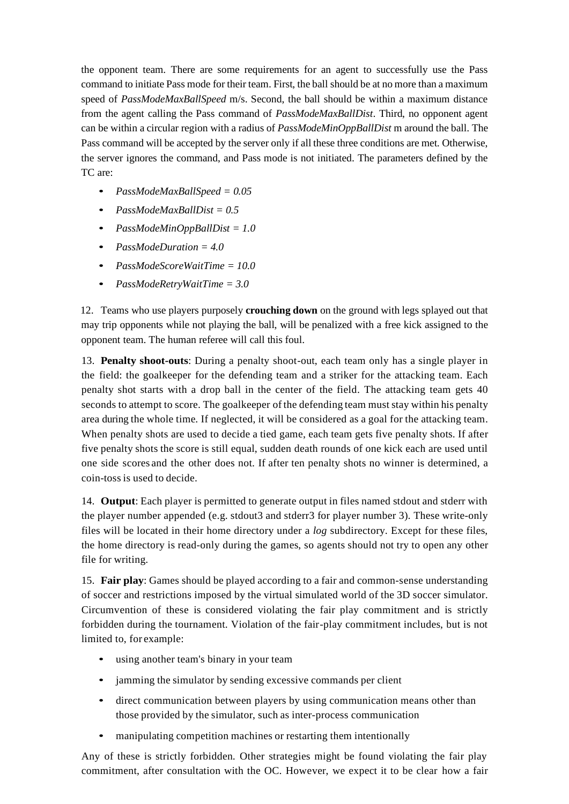the opponent team. There are some requirements for an agent to successfully use the Pass command to initiate Pass mode for their team. First, the ball should be at no more than a maximum speed of *PassModeMaxBallSpeed* m/s. Second, the ball should be within a maximum distance from the agent calling the Pass command of *PassModeMaxBallDist*. Third, no opponent agent can be within a circular region with a radius of *PassModeMinOppBallDist* m around the ball. The Pass command will be accepted by the server only if all these three conditions are met. Otherwise, the server ignores the command, and Pass mode is not initiated. The parameters defined by the TC are:

- *PassModeMaxBallSpeed = 0.05*
- *PassModeMaxBallDist = 0.5*
- *PassModeMinOppBallDist = 1.0*
- *PassModeDuration = 4.0*
- *PassModeScoreWaitTime = 10.0*
- *PassModeRetryWaitTime = 3.0*

12. Teams who use players purposely **crouching down** on the ground with legs splayed out that may trip opponents while not playing the ball, will be penalized with a free kick assigned to the opponent team. The human referee will call this foul.

13. **Penalty shoot-outs**: During a penalty shoot-out, each team only has a single player in the field: the goalkeeper for the defending team and a striker for the attacking team. Each penalty shot starts with a drop ball in the center of the field. The attacking team gets 40 seconds to attempt to score. The goalkeeper of the defending team must stay within his penalty area during the whole time. If neglected, it will be considered as a goal for the attacking team. When penalty shots are used to decide a tied game, each team gets five penalty shots. If after five penalty shots the score is still equal, sudden death rounds of one kick each are used until one side scores and the other does not. If after ten penalty shots no winner is determined, a coin-toss is used to decide.

14. **Output**: Each player is permitted to generate output in files named stdout and stderr with the player number appended (e.g. stdout3 and stderr3 for player number 3). These write-only files will be located in their home directory under a *log* subdirectory. Except for these files, the home directory is read-only during the games, so agents should not try to open any other file for writing.

15. **Fair play**: Games should be played according to a fair and common-sense understanding of soccer and restrictions imposed by the virtual simulated world of the 3D soccer simulator. Circumvention of these is considered violating the fair play commitment and is strictly forbidden during the tournament. Violation of the fair-play commitment includes, but is not limited to, for example:

- using another team's binary in your team
- jamming the simulator by sending excessive commands per client
- direct communication between players by using communication means other than those provided by the simulator, such as inter-process communication
- manipulating competition machines or restarting them intentionally

Any of these is strictly forbidden. Other strategies might be found violating the fair play commitment, after consultation with the OC. However, we expect it to be clear how a fair